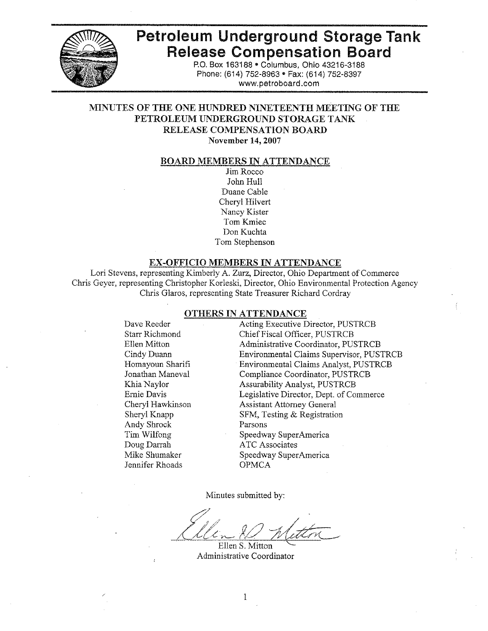

# **Petroleum Underground Storage Tank Release Compensation Board**

P.O. Box 163188 . Columbus, Ohio 43216-3188 Phone: (614) 752-8963 · Fax: (614) 752-8397 www.petroboard.com

#### MINUTES OF THE ONE HUNDRED NINETEENTH MEETING OF THE PETROLEUM UNDERGROUND STORAGE TANK RELEASE COMPENSATION BOARD November 14, 2007

#### **BOARD MEMBERS IN ATTENDANCE**

Jim Rocco John Hull Duane Cable Cheryl Hilvert Nancy Kister Tom Kmiec Don Kuchta Tom Stephenson

#### **EX-OFFICIO MEMBERS IN ATTENDANCE**

Lori Stevens, representing Kimberly A. Zurz, Director, Ohio Department of Commerce Chris Geyer, representing Christopher Korleski, Director, Ohio Environmental Protection Agency Chris Glaros, representing State Treasurer Richard Cordray

#### **OTHERS IN ATTENDANCE**

Dave Reeder **Starr Richmond** Ellen Mitton Cindy Duann Homayoun Sharifi Jonathan Maneval Khia Naylor Ernie Davis Cheryl Hawkinson Shervl Knapp Andy Shrock Tim Wilfong Doug Darrah Mike Shumaker Jennifer Rhoads

Acting Executive Director, PUSTRCB Chief Fiscal Officer, PUSTRCB Administrative Coordinator, PUSTRCB Environmental Claims Supervisor, PUSTRCB **Environmental Claims Analyst, PUSTRCB** Compliance Coordinator, PUSTRCB **Assurability Analyst, PUSTRCB** Legislative Director, Dept. of Commerce **Assistant Attorney General** SFM, Testing & Registration Parsons Speedway SuperAmerica **ATC** Associates Speedway SuperAmerica **OPMCA** 

Minutes submitted by:

Ellen S. Mitton Administrative Coordinator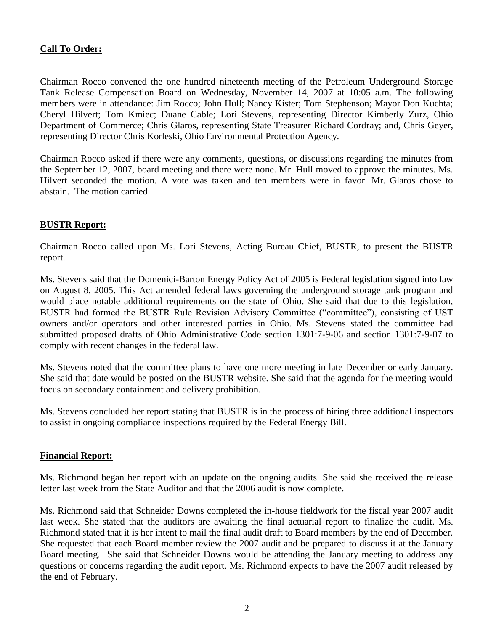# **Call To Order:**

Chairman Rocco convened the one hundred nineteenth meeting of the Petroleum Underground Storage Tank Release Compensation Board on Wednesday, November 14, 2007 at 10:05 a.m. The following members were in attendance: Jim Rocco; John Hull; Nancy Kister; Tom Stephenson; Mayor Don Kuchta; Cheryl Hilvert; Tom Kmiec; Duane Cable; Lori Stevens, representing Director Kimberly Zurz, Ohio Department of Commerce; Chris Glaros, representing State Treasurer Richard Cordray; and, Chris Geyer, representing Director Chris Korleski, Ohio Environmental Protection Agency.

Chairman Rocco asked if there were any comments, questions, or discussions regarding the minutes from the September 12, 2007, board meeting and there were none. Mr. Hull moved to approve the minutes. Ms. Hilvert seconded the motion. A vote was taken and ten members were in favor. Mr. Glaros chose to abstain. The motion carried.

### **BUSTR Report:**

Chairman Rocco called upon Ms. Lori Stevens, Acting Bureau Chief, BUSTR, to present the BUSTR report.

Ms. Stevens said that the Domenici-Barton Energy Policy Act of 2005 is Federal legislation signed into law on August 8, 2005. This Act amended federal laws governing the underground storage tank program and would place notable additional requirements on the state of Ohio. She said that due to this legislation, BUSTR had formed the BUSTR Rule Revision Advisory Committee ("committee"), consisting of UST owners and/or operators and other interested parties in Ohio. Ms. Stevens stated the committee had submitted proposed drafts of Ohio Administrative Code section 1301:7-9-06 and section 1301:7-9-07 to comply with recent changes in the federal law.

Ms. Stevens noted that the committee plans to have one more meeting in late December or early January. She said that date would be posted on the BUSTR website. She said that the agenda for the meeting would focus on secondary containment and delivery prohibition.

Ms. Stevens concluded her report stating that BUSTR is in the process of hiring three additional inspectors to assist in ongoing compliance inspections required by the Federal Energy Bill.

#### **Financial Report:**

Ms. Richmond began her report with an update on the ongoing audits. She said she received the release letter last week from the State Auditor and that the 2006 audit is now complete.

Ms. Richmond said that Schneider Downs completed the in-house fieldwork for the fiscal year 2007 audit last week. She stated that the auditors are awaiting the final actuarial report to finalize the audit. Ms. Richmond stated that it is her intent to mail the final audit draft to Board members by the end of December. She requested that each Board member review the 2007 audit and be prepared to discuss it at the January Board meeting. She said that Schneider Downs would be attending the January meeting to address any questions or concerns regarding the audit report. Ms. Richmond expects to have the 2007 audit released by the end of February.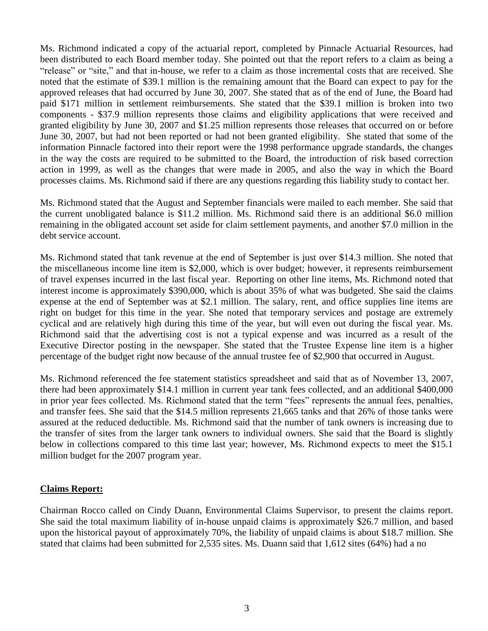Ms. Richmond indicated a copy of the actuarial report, completed by Pinnacle Actuarial Resources, had been distributed to each Board member today. She pointed out that the report refers to a claim as being a "release" or "site," and that in-house, we refer to a claim as those incremental costs that are received. She noted that the estimate of \$39.1 million is the remaining amount that the Board can expect to pay for the approved releases that had occurred by June 30, 2007. She stated that as of the end of June, the Board had paid \$171 million in settlement reimbursements. She stated that the \$39.1 million is broken into two components - \$37.9 million represents those claims and eligibility applications that were received and granted eligibility by June 30, 2007 and \$1.25 million represents those releases that occurred on or before June 30, 2007, but had not been reported or had not been granted eligibility. She stated that some of the information Pinnacle factored into their report were the 1998 performance upgrade standards, the changes in the way the costs are required to be submitted to the Board, the introduction of risk based correction action in 1999, as well as the changes that were made in 2005, and also the way in which the Board processes claims. Ms. Richmond said if there are any questions regarding this liability study to contact her.

Ms. Richmond stated that the August and September financials were mailed to each member. She said that the current unobligated balance is \$11.2 million. Ms. Richmond said there is an additional \$6.0 million remaining in the obligated account set aside for claim settlement payments, and another \$7.0 million in the debt service account.

Ms. Richmond stated that tank revenue at the end of September is just over \$14.3 million. She noted that the miscellaneous income line item is \$2,000, which is over budget; however, it represents reimbursement of travel expenses incurred in the last fiscal year. Reporting on other line items, Ms. Richmond noted that interest income is approximately \$390,000, which is about 35% of what was budgeted. She said the claims expense at the end of September was at \$2.1 million. The salary, rent, and office supplies line items are right on budget for this time in the year. She noted that temporary services and postage are extremely cyclical and are relatively high during this time of the year, but will even out during the fiscal year. Ms. Richmond said that the advertising cost is not a typical expense and was incurred as a result of the Executive Director posting in the newspaper. She stated that the Trustee Expense line item is a higher percentage of the budget right now because of the annual trustee fee of \$2,900 that occurred in August.

Ms. Richmond referenced the fee statement statistics spreadsheet and said that as of November 13, 2007, there had been approximately \$14.1 million in current year tank fees collected, and an additional \$400,000 in prior year fees collected. Ms. Richmond stated that the term "fees" represents the annual fees, penalties, and transfer fees. She said that the \$14.5 million represents 21,665 tanks and that 26% of those tanks were assured at the reduced deductible. Ms. Richmond said that the number of tank owners is increasing due to the transfer of sites from the larger tank owners to individual owners. She said that the Board is slightly below in collections compared to this time last year; however, Ms. Richmond expects to meet the \$15.1 million budget for the 2007 program year.

## **Claims Report:**

Chairman Rocco called on Cindy Duann, Environmental Claims Supervisor, to present the claims report. She said the total maximum liability of in-house unpaid claims is approximately \$26.7 million, and based upon the historical payout of approximately 70%, the liability of unpaid claims is about \$18.7 million. She stated that claims had been submitted for 2,535 sites. Ms. Duann said that 1,612 sites (64%) had a no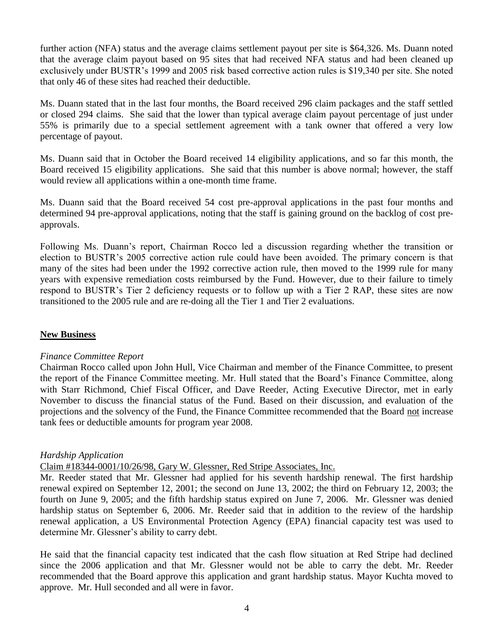further action (NFA) status and the average claims settlement payout per site is \$64,326. Ms. Duann noted that the average claim payout based on 95 sites that had received NFA status and had been cleaned up exclusively under BUSTR's 1999 and 2005 risk based corrective action rules is \$19,340 per site. She noted that only 46 of these sites had reached their deductible.

Ms. Duann stated that in the last four months, the Board received 296 claim packages and the staff settled or closed 294 claims. She said that the lower than typical average claim payout percentage of just under 55% is primarily due to a special settlement agreement with a tank owner that offered a very low percentage of payout.

Ms. Duann said that in October the Board received 14 eligibility applications, and so far this month, the Board received 15 eligibility applications. She said that this number is above normal; however, the staff would review all applications within a one-month time frame.

Ms. Duann said that the Board received 54 cost pre-approval applications in the past four months and determined 94 pre-approval applications, noting that the staff is gaining ground on the backlog of cost preapprovals.

Following Ms. Duann's report, Chairman Rocco led a discussion regarding whether the transition or election to BUSTR's 2005 corrective action rule could have been avoided. The primary concern is that many of the sites had been under the 1992 corrective action rule, then moved to the 1999 rule for many years with expensive remediation costs reimbursed by the Fund. However, due to their failure to timely respond to BUSTR's Tier 2 deficiency requests or to follow up with a Tier 2 RAP, these sites are now transitioned to the 2005 rule and are re-doing all the Tier 1 and Tier 2 evaluations.

#### **New Business**

#### *Finance Committee Report*

Chairman Rocco called upon John Hull, Vice Chairman and member of the Finance Committee, to present the report of the Finance Committee meeting. Mr. Hull stated that the Board's Finance Committee, along with Starr Richmond, Chief Fiscal Officer, and Dave Reeder, Acting Executive Director, met in early November to discuss the financial status of the Fund. Based on their discussion, and evaluation of the projections and the solvency of the Fund, the Finance Committee recommended that the Board not increase tank fees or deductible amounts for program year 2008.

#### *Hardship Application*

#### Claim #18344-0001/10/26/98, Gary W. Glessner, Red Stripe Associates, Inc.

Mr. Reeder stated that Mr. Glessner had applied for his seventh hardship renewal. The first hardship renewal expired on September 12, 2001; the second on June 13, 2002; the third on February 12, 2003; the fourth on June 9, 2005; and the fifth hardship status expired on June 7, 2006. Mr. Glessner was denied hardship status on September 6, 2006. Mr. Reeder said that in addition to the review of the hardship renewal application, a US Environmental Protection Agency (EPA) financial capacity test was used to determine Mr. Glessner's ability to carry debt.

He said that the financial capacity test indicated that the cash flow situation at Red Stripe had declined since the 2006 application and that Mr. Glessner would not be able to carry the debt. Mr. Reeder recommended that the Board approve this application and grant hardship status. Mayor Kuchta moved to approve. Mr. Hull seconded and all were in favor.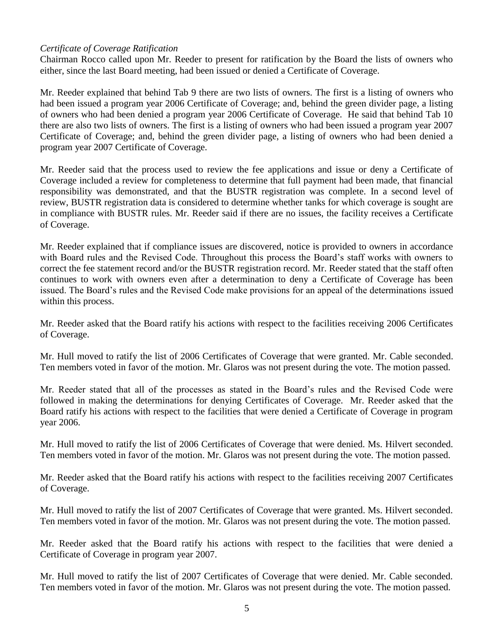### *Certificate of Coverage Ratification*

Chairman Rocco called upon Mr. Reeder to present for ratification by the Board the lists of owners who either, since the last Board meeting, had been issued or denied a Certificate of Coverage.

Mr. Reeder explained that behind Tab 9 there are two lists of owners. The first is a listing of owners who had been issued a program year 2006 Certificate of Coverage; and, behind the green divider page, a listing of owners who had been denied a program year 2006 Certificate of Coverage. He said that behind Tab 10 there are also two lists of owners. The first is a listing of owners who had been issued a program year 2007 Certificate of Coverage; and, behind the green divider page, a listing of owners who had been denied a program year 2007 Certificate of Coverage.

Mr. Reeder said that the process used to review the fee applications and issue or deny a Certificate of Coverage included a review for completeness to determine that full payment had been made, that financial responsibility was demonstrated, and that the BUSTR registration was complete. In a second level of review, BUSTR registration data is considered to determine whether tanks for which coverage is sought are in compliance with BUSTR rules. Mr. Reeder said if there are no issues, the facility receives a Certificate of Coverage.

Mr. Reeder explained that if compliance issues are discovered, notice is provided to owners in accordance with Board rules and the Revised Code. Throughout this process the Board's staff works with owners to correct the fee statement record and/or the BUSTR registration record. Mr. Reeder stated that the staff often continues to work with owners even after a determination to deny a Certificate of Coverage has been issued. The Board's rules and the Revised Code make provisions for an appeal of the determinations issued within this process.

Mr. Reeder asked that the Board ratify his actions with respect to the facilities receiving 2006 Certificates of Coverage.

Mr. Hull moved to ratify the list of 2006 Certificates of Coverage that were granted. Mr. Cable seconded. Ten members voted in favor of the motion. Mr. Glaros was not present during the vote. The motion passed.

Mr. Reeder stated that all of the processes as stated in the Board's rules and the Revised Code were followed in making the determinations for denying Certificates of Coverage. Mr. Reeder asked that the Board ratify his actions with respect to the facilities that were denied a Certificate of Coverage in program year 2006.

Mr. Hull moved to ratify the list of 2006 Certificates of Coverage that were denied. Ms. Hilvert seconded. Ten members voted in favor of the motion. Mr. Glaros was not present during the vote. The motion passed.

Mr. Reeder asked that the Board ratify his actions with respect to the facilities receiving 2007 Certificates of Coverage.

Mr. Hull moved to ratify the list of 2007 Certificates of Coverage that were granted. Ms. Hilvert seconded. Ten members voted in favor of the motion. Mr. Glaros was not present during the vote. The motion passed.

Mr. Reeder asked that the Board ratify his actions with respect to the facilities that were denied a Certificate of Coverage in program year 2007.

Mr. Hull moved to ratify the list of 2007 Certificates of Coverage that were denied. Mr. Cable seconded. Ten members voted in favor of the motion. Mr. Glaros was not present during the vote. The motion passed.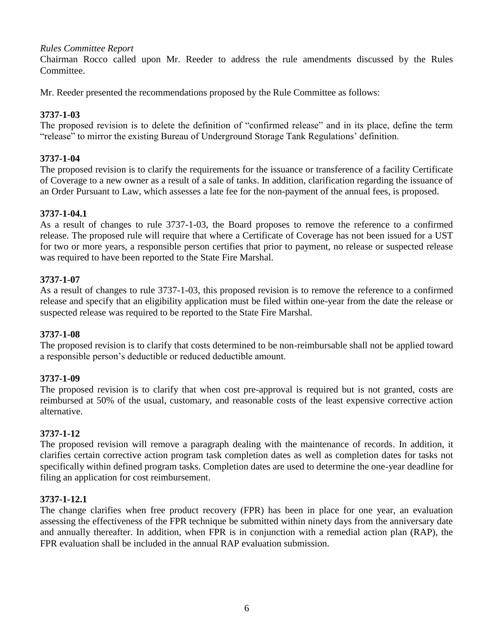### *Rules Committee Report*

Chairman Rocco called upon Mr. Reeder to address the rule amendments discussed by the Rules Committee.

Mr. Reeder presented the recommendations proposed by the Rule Committee as follows:

#### **3737-1-03**

The proposed revision is to delete the definition of "confirmed release" and in its place, define the term "release" to mirror the existing Bureau of Underground Storage Tank Regulations' definition.

### **3737-1-04**

The proposed revision is to clarify the requirements for the issuance or transference of a facility Certificate of Coverage to a new owner as a result of a sale of tanks. In addition, clarification regarding the issuance of an Order Pursuant to Law, which assesses a late fee for the non-payment of the annual fees, is proposed.

#### **3737-1-04.1**

As a result of changes to rule 3737-1-03, the Board proposes to remove the reference to a confirmed release. The proposed rule will require that where a Certificate of Coverage has not been issued for a UST for two or more years, a responsible person certifies that prior to payment, no release or suspected release was required to have been reported to the State Fire Marshal.

#### **3737-1-07**

As a result of changes to rule 3737-1-03, this proposed revision is to remove the reference to a confirmed release and specify that an eligibility application must be filed within one-year from the date the release or suspected release was required to be reported to the State Fire Marshal.

#### **3737-1-08**

The proposed revision is to clarify that costs determined to be non-reimbursable shall not be applied toward a responsible person's deductible or reduced deductible amount.

#### **3737-1-09**

The proposed revision is to clarify that when cost pre-approval is required but is not granted, costs are reimbursed at 50% of the usual, customary, and reasonable costs of the least expensive corrective action alternative.

#### **3737-1-12**

The proposed revision will remove a paragraph dealing with the maintenance of records. In addition, it clarifies certain corrective action program task completion dates as well as completion dates for tasks not specifically within defined program tasks. Completion dates are used to determine the one-year deadline for filing an application for cost reimbursement.

#### **3737-1-12.1**

The change clarifies when free product recovery (FPR) has been in place for one year, an evaluation assessing the effectiveness of the FPR technique be submitted within ninety days from the anniversary date and annually thereafter. In addition, when FPR is in conjunction with a remedial action plan (RAP), the FPR evaluation shall be included in the annual RAP evaluation submission.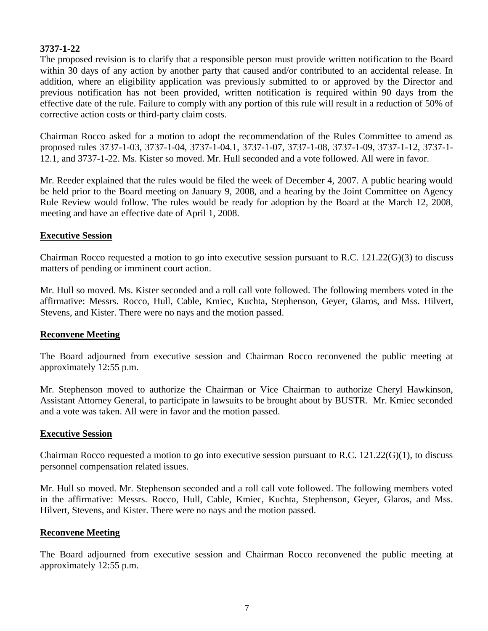### **3737-1-22**

The proposed revision is to clarify that a responsible person must provide written notification to the Board within 30 days of any action by another party that caused and/or contributed to an accidental release. In addition, where an eligibility application was previously submitted to or approved by the Director and previous notification has not been provided, written notification is required within 90 days from the effective date of the rule. Failure to comply with any portion of this rule will result in a reduction of 50% of corrective action costs or third-party claim costs.

Chairman Rocco asked for a motion to adopt the recommendation of the Rules Committee to amend as proposed rules 3737-1-03, 3737-1-04, 3737-1-04.1, 3737-1-07, 3737-1-08, 3737-1-09, 3737-1-12, 3737-1- 12.1, and 3737-1-22. Ms. Kister so moved. Mr. Hull seconded and a vote followed. All were in favor.

Mr. Reeder explained that the rules would be filed the week of December 4, 2007. A public hearing would be held prior to the Board meeting on January 9, 2008, and a hearing by the Joint Committee on Agency Rule Review would follow. The rules would be ready for adoption by the Board at the March 12, 2008, meeting and have an effective date of April 1, 2008.

#### **Executive Session**

Chairman Rocco requested a motion to go into executive session pursuant to R.C. 121.22(G)(3) to discuss matters of pending or imminent court action.

Mr. Hull so moved. Ms. Kister seconded and a roll call vote followed. The following members voted in the affirmative: Messrs. Rocco, Hull, Cable, Kmiec, Kuchta, Stephenson, Geyer, Glaros, and Mss. Hilvert, Stevens, and Kister. There were no nays and the motion passed.

#### **Reconvene Meeting**

The Board adjourned from executive session and Chairman Rocco reconvened the public meeting at approximately 12:55 p.m.

Mr. Stephenson moved to authorize the Chairman or Vice Chairman to authorize Cheryl Hawkinson, Assistant Attorney General, to participate in lawsuits to be brought about by BUSTR. Mr. Kmiec seconded and a vote was taken. All were in favor and the motion passed.

#### **Executive Session**

Chairman Rocco requested a motion to go into executive session pursuant to R.C. 121.22(G)(1), to discuss personnel compensation related issues.

Mr. Hull so moved. Mr. Stephenson seconded and a roll call vote followed. The following members voted in the affirmative: Messrs. Rocco, Hull, Cable, Kmiec, Kuchta, Stephenson, Geyer, Glaros, and Mss. Hilvert, Stevens, and Kister. There were no nays and the motion passed.

#### **Reconvene Meeting**

The Board adjourned from executive session and Chairman Rocco reconvened the public meeting at approximately 12:55 p.m.